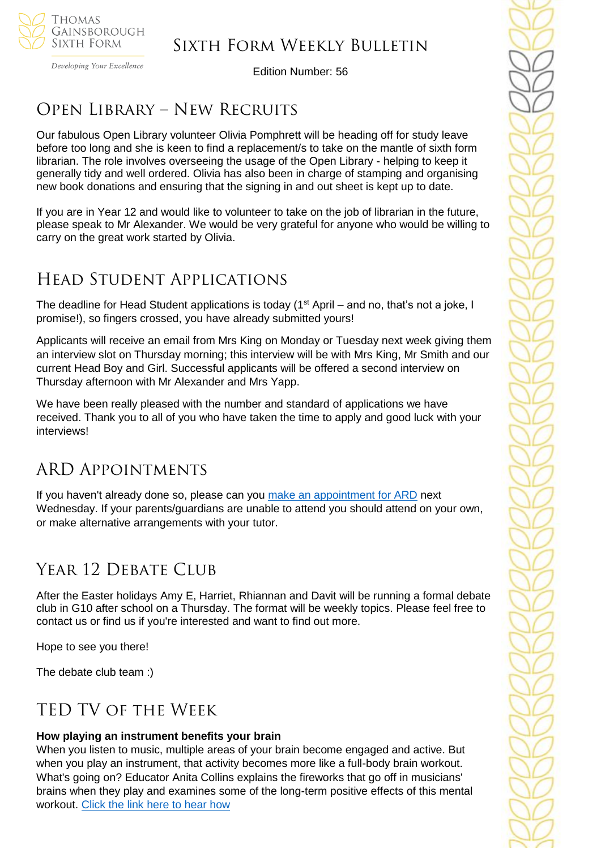

Developing Your Excellence

Edition Number: 56

# Open Library – New Recruits

Our fabulous Open Library volunteer Olivia Pomphrett will be heading off for study leave before too long and she is keen to find a replacement/s to take on the mantle of sixth form librarian. The role involves overseeing the usage of the Open Library - helping to keep it generally tidy and well ordered. Olivia has also been in charge of stamping and organising new book donations and ensuring that the signing in and out sheet is kept up to date.

If you are in Year 12 and would like to volunteer to take on the job of librarian in the future, please speak to Mr Alexander. We would be very grateful for anyone who would be willing to carry on the great work started by Olivia.

# Head Student Applications

The deadline for Head Student applications is today (1<sup>st</sup> April – and no, that's not a joke, I promise!), so fingers crossed, you have already submitted yours!

Applicants will receive an email from Mrs King on Monday or Tuesday next week giving them an interview slot on Thursday morning; this interview will be with Mrs King, Mr Smith and our current Head Boy and Girl. Successful applicants will be offered a second interview on Thursday afternoon with Mr Alexander and Mrs Yapp.

We have been really pleased with the number and standard of applications we have received. Thank you to all of you who have taken the time to apply and good luck with your interviews!

# ARD Appointments

If you haven't already done so, please can you [make an appointment for ARD](https://tgschool.schoolcloud.co.uk/) next Wednesday. If your parents/guardians are unable to attend you should attend on your own, or make alternative arrangements with your tutor.

# YEAR 12 DEBATE CLUB

After the Easter holidays Amy E, Harriet, Rhiannan and Davit will be running a formal debate club in G10 after school on a Thursday. The format will be weekly topics. Please feel free to contact us or find us if you're interested and want to find out more.

Hope to see you there!

The debate club team :)

# TED TV of the Week

### **How playing an instrument benefits your brain**

When you listen to music, multiple areas of your brain become engaged and active. But when you play an instrument, that activity becomes more like a full-body brain workout. What's going on? Educator Anita Collins explains the fireworks that go off in musicians' brains when they play and examines some of the long-term positive effects of this mental workout. [Click the link here to hear how](https://www.ted.com/talks/anita_collins_how_playing_an_instrument_benefits_your_brain)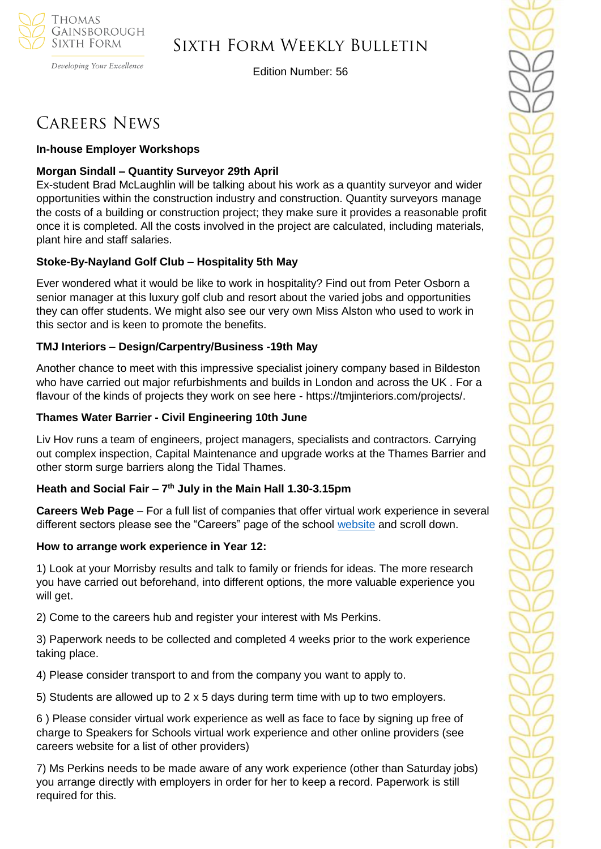

### Sixth Form Weekly Bulletin

Edition Number: 56

# Careers News

#### **In-house Employer Workshops**

### **Morgan Sindall – Quantity Surveyor 29th April**

Ex-student Brad McLaughlin will be talking about his work as a quantity surveyor and wider opportunities within the construction industry and construction. Quantity surveyors manage the costs of a building or construction project; they make sure it provides a reasonable profit once it is completed. All the costs involved in the project are calculated, including materials, plant hire and staff salaries.

#### **Stoke-By-Nayland Golf Club – Hospitality 5th May**

Ever wondered what it would be like to work in hospitality? Find out from Peter Osborn a senior manager at this luxury golf club and resort about the varied jobs and opportunities they can offer students. We might also see our very own Miss Alston who used to work in this sector and is keen to promote the benefits.

#### **TMJ Interiors – Design/Carpentry/Business -19th May**

Another chance to meet with this impressive specialist joinery company based in Bildeston who have carried out major refurbishments and builds in London and across the UK . For a flavour of the kinds of projects they work on see here - https://tmjinteriors.com/projects/.

#### **Thames Water Barrier - Civil Engineering 10th June**

Liv Hov runs a team of engineers, project managers, specialists and contractors. Carrying out complex inspection, Capital Maintenance and upgrade works at the Thames Barrier and other storm surge barriers along the Tidal Thames.

#### **Heath and Social Fair – 7 th July in the Main Hall 1.30-3.15pm**

**Careers Web Page** – For a full list of companies that offer virtual work experience in several different sectors please see the "Careers" page of the school [website](https://tgschool.net/careers) and scroll down.

#### **How to arrange work experience in Year 12:**

1) Look at your Morrisby results and talk to family or friends for ideas. The more research you have carried out beforehand, into different options, the more valuable experience you will get.

2) Come to the careers hub and register your interest with Ms Perkins.

3) Paperwork needs to be collected and completed 4 weeks prior to the work experience taking place.

4) Please consider transport to and from the company you want to apply to.

5) Students are allowed up to 2 x 5 days during term time with up to two employers.

6 ) Please consider virtual work experience as well as face to face by signing up free of charge to Speakers for Schools virtual work experience and other online providers (see careers website for a list of other providers)

7) Ms Perkins needs to be made aware of any work experience (other than Saturday jobs) you arrange directly with employers in order for her to keep a record. Paperwork is still required for this.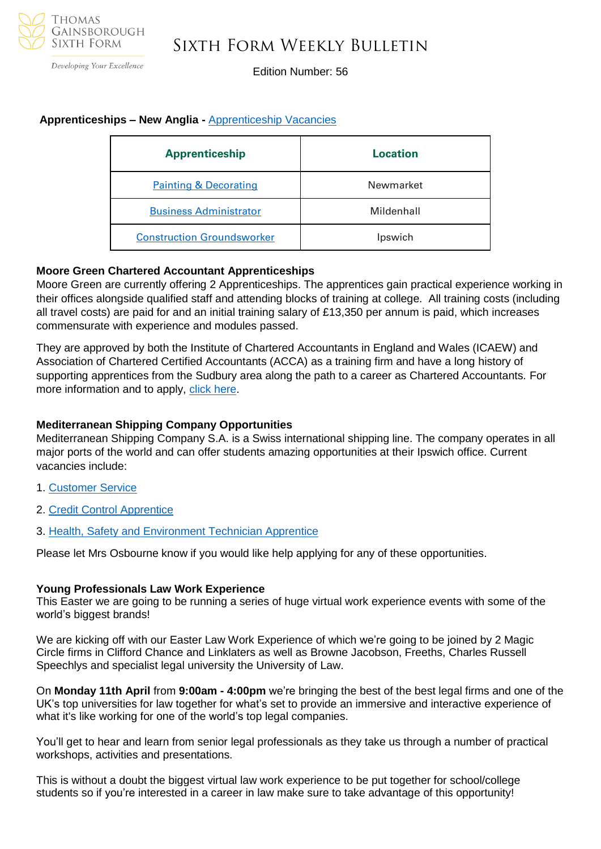

### Sixth Form Weekly Bulletin

Edition Number: 56

#### **Apprenticeships – New Anglia -** [Apprenticeship Vacancies](https://v2.apprenticeshipsnewanglia.co.uk/apprenticeships/search/?s_query=&s_location=&s_distance=30&s_trade=0&s_apprenticeshipLevel=0&prop_View=list&prop_sort=created+desc)

| <b>Apprenticeship</b>             | Location   |
|-----------------------------------|------------|
| <b>Painting &amp; Decorating</b>  | Newmarket  |
| <b>Business Administrator</b>     | Mildenhall |
| <b>Construction Groundsworker</b> | Ipswich    |

#### **Moore Green Chartered Accountant Apprenticeships**

Moore Green are currently offering 2 Apprenticeships. The apprentices gain practical experience working in their offices alongside qualified staff and attending blocks of training at college. All training costs (including all travel costs) are paid for and an initial training salary of £13,350 per annum is paid, which increases commensurate with experience and modules passed.

They are approved by both the Institute of Chartered Accountants in England and Wales (ICAEW) and Association of Chartered Certified Accountants (ACCA) as a training firm and have a long history of supporting apprentices from the Sudbury area along the path to a career as Chartered Accountants. For more information and to apply, [click here.](https://www.mooregreen.co.uk/vacancies/accountancy-apprenticeship)

#### **Mediterranean Shipping Company Opportunities**

Mediterranean Shipping Company S.A. is a Swiss international shipping line. The company operates in all major ports of the world and can offer students amazing opportunities at their Ipswich office. Current vacancies include:

- 1. [Customer Service](https://www.findapprenticeship.service.gov.uk/apprenticeship/-711030)
- 2. [Credit Control Apprentice](https://www.findapprenticeship.service.gov.uk/apprenticeship/-728443)
- 3. [Health, Safety and Environment Technician Apprentice](https://mscuk.current-vacancies.com/Jobs/Advert/2606357?cid=1798&s=False&t=Health--Safety-and-Environment-Technician-Apprentice&l=Ipswich)

Please let Mrs Osbourne know if you would like help applying for any of these opportunities.

#### **Young Professionals Law Work Experience**

This Easter we are going to be running a series of huge virtual work experience events with some of the world's biggest brands!

We are kicking off with our Easter Law Work Experience of which we're going to be joined by 2 Magic Circle firms in Clifford Chance and Linklaters as well as Browne Jacobson, Freeths, Charles Russell Speechlys and specialist legal university the University of Law.

On **Monday 11th April** from **9:00am - 4:00pm** we're bringing the best of the best legal firms and one of the UK's top universities for law together for what's set to provide an immersive and interactive experience of what it's like working for one of the world's top legal companies.

You'll get to hear and learn from senior legal professionals as they take us through a number of practical workshops, activities and presentations.

This is without a doubt the biggest virtual law work experience to be put together for school/college students so if you're interested in a career in law make sure to take advantage of this opportunity!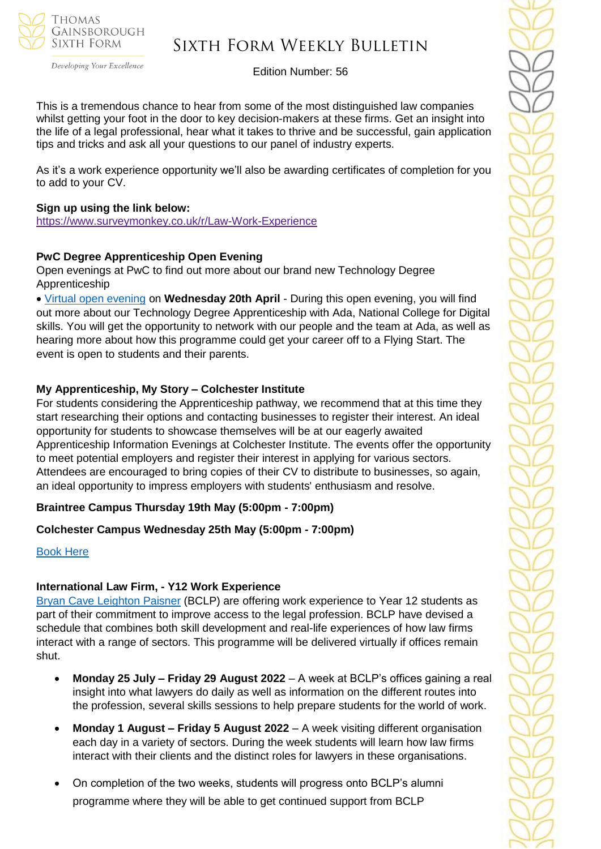

## Sixth Form Weekly Bulletin

Edition Number: 56

This is a tremendous chance to hear from some of the most distinguished law companies whilst getting your foot in the door to key decision-makers at these firms. Get an insight into the life of a legal professional, hear what it takes to thrive and be successful, gain application tips and tricks and ask all your questions to our panel of industry experts.

As it's a work experience opportunity we'll also be awarding certificates of completion for you to add to your CV.

#### **Sign up using the link below:**

<https://www.surveymonkey.co.uk/r/Law-Work-Experience>

#### **PwC Degree Apprenticeship Open Evening**

Open evenings at PwC to find out more about our brand new Technology Degree Apprenticeship

• [Virtual open evening](https://successatschool.org/jobandcoursedetail/763/PwC-Ada-Virtual-Open-Evening?goal=0_65c6d67e71-8a39a8067c-212136547&mc_cid=8a39a8067c&mc_eid=530f418f3c) on **Wednesday 20th April** - During this open evening, you will find out more about our Technology Degree Apprenticeship with Ada, National College for Digital skills. You will get the opportunity to network with our people and the team at Ada, as well as hearing more about how this programme could get your career off to a Flying Start. The event is open to students and their parents.

#### **My Apprenticeship, My Story – Colchester Institute**

For students considering the Apprenticeship pathway, we recommend that at this time they start researching their options and contacting businesses to register their interest. An ideal opportunity for students to showcase themselves will be at our eagerly awaited Apprenticeship Information Evenings at Colchester Institute. The events offer the opportunity to meet potential employers and register their interest in applying for various sectors. Attendees are encouraged to bring copies of their CV to distribute to businesses, so again, an ideal opportunity to impress employers with students' enthusiasm and resolve.

#### **Braintree Campus Thursday 19th May (5:00pm - 7:00pm)**

#### **Colchester Campus Wednesday 25th May (5:00pm - 7:00pm)**

#### [Book Here](https://www.colchester.ac.uk/events/?f24_pid=db01a9d4-1973-4328-8f22-9e8504b0ca3f&utm_campaign=2022%2003%2030%20-%20Schools%20Update%20-%2092&utm_source=force24&utm_medium=email&utm_content=textlink)

#### **International Law Firm, - Y12 Work Experience**

[Bryan Cave Leighton Paisner](https://nam12.safelinks.protection.outlook.com/?url=https%3A%2F%2Fmykindacrowd.us6.list-manage.com%2Ftrack%2Fclick%3Fu%3Ded0d3c8306048bd1aa89fb8aa%26id%3Dd4b5888e23%26e%3D6a71ef3d64&data=04%7C01%7C%7Ca42d6fcdb3294051de3a08da0035846a%7C84df9e7fe9f640afb435aaaaaaaaaaaa%7C1%7C0%7C637822527094728893%7CUnknown%7CTWFpbGZsb3d8eyJWIjoiMC4wLjAwMDAiLCJQIjoiV2luMzIiLCJBTiI6Ik1haWwiLCJXVCI6Mn0%3D%7C3000&sdata=ZDGSKFlvIYYjNkmN9S6ZheP1SMAkGXRalT2hYqJWzmM%3D&reserved=0) (BCLP) are offering work experience to Year 12 students as part of their commitment to improve access to the legal profession. BCLP have devised a schedule that combines both skill development and real-life experiences of how law firms interact with a range of sectors. This programme will be delivered virtually if offices remain shut.

- **Monday 25 July – Friday 29 August 2022**  A week at BCLP's offices gaining a real insight into what lawyers do daily as well as information on the different routes into the profession, several skills sessions to help prepare students for the world of work.
- **Monday 1 August – Friday 5 August 2022** A week visiting different organisation each day in a variety of sectors. During the week students will learn how law firms interact with their clients and the distinct roles for lawyers in these organisations.
- On completion of the two weeks, students will progress onto BCLP's alumni programme where they will be able to get continued support from BCLP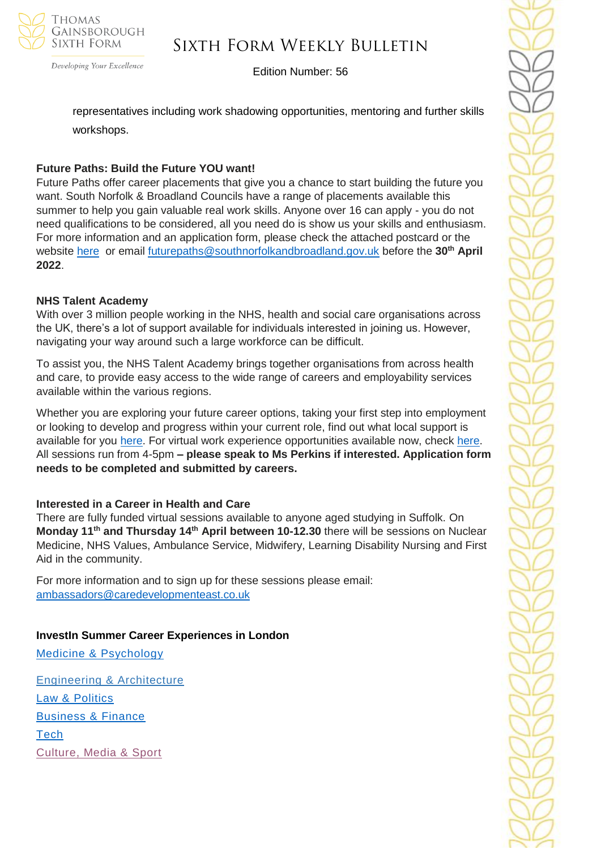

## Sixth Form Weekly Bulletin

Edition Number: 56

representatives including work shadowing opportunities, mentoring and further skills workshops.

### **Future Paths: Build the Future YOU want!**

Future Paths offer career placements that give you a chance to start building the future you want. South Norfolk & Broadland Councils have a range of placements available this summer to help you gain valuable real work skills. Anyone over 16 can apply - you do not need qualifications to be considered, all you need do is show us your skills and enthusiasm. For more information and an application form, please check the attached postcard or the website [here](https://www.southnorfolkandbroadland.gov.uk/futurepaths) or email [futurepaths@southnorfolkandbroadland.gov.uk](mailto:futurepaths@southnorfolkandbroadland.gov.uk) before the **30th April 2022**.

#### **NHS Talent Academy**

With over 3 million people working in the NHS, health and social care organisations across the UK, there's a lot of support available for individuals interested in joining us. However, navigating your way around such a large workforce can be difficult.

To assist you, the NHS Talent Academy brings together organisations from across health and care, to provide easy access to the wide range of careers and employability services available within the various regions.

Whether you are exploring your future career options, taking your first step into employment or looking to develop and progress within your current role, find out what local support is available for you [here.](https://nhstalentacademy.org.uk/) For virtual work experience opportunities available now, check [here.](https://nhstalentacademy.org.uk/?s=Let%27s+Talk+About) All sessions run from 4-5pm **– please speak to Ms Perkins if interested. Application form needs to be completed and submitted by careers.**

#### **Interested in a Career in Health and Care**

There are fully funded virtual sessions available to anyone aged studying in Suffolk. On **Monday 11th and Thursday 14th April between 10-12.30** there will be sessions on Nuclear Medicine, NHS Values, Ambulance Service, Midwifery, Learning Disability Nursing and First Aid in the community.

For more information and to sign up for these sessions please email: [ambassadors@caredevelopmenteast.co.uk](mailto:ambassadors@caredevelopmenteast.co.uk)

#### **InvestIn Summer Career Experiences in London**

[Medicine & Psychology](https://investin.org/pages/choose-your-medicine-summer-experience) [Engineering & Architecture](https://investin.org/pages/choose-your-engineering-architecture-summer-experience) [Law & Politics](https://investin.org/pages/choose-your-law-politics-summer-experience) [Business & Finance](https://investin.org/pages/choose-your-business-finance-summer-experience)

**[Tech](https://investin.org/pages/choose-your-tech-summer-experience)** [Culture, Media & Sport](https://investin.org/pages/choose-your-culture-media-sport-summer-experience)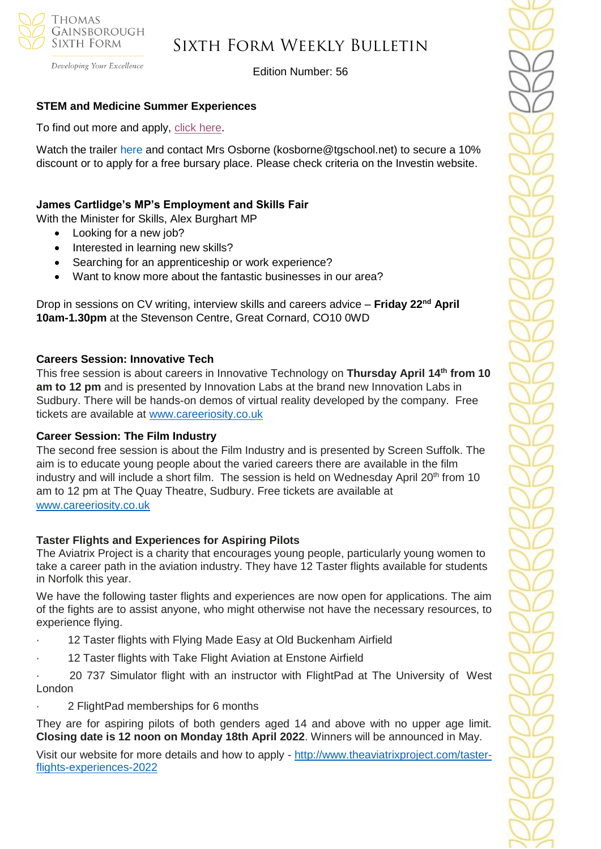

Developing Your Excellence

Edition Number: 56

#### **STEM and Medicine Summer Experiences**

To find out more and apply, [click here.](https://investin.org/pages/choose-your-stem-summer-experience?utm_source=UK+SCHOOLS+MASTER&utm_campaign=a31ab330e2-bankersschoolmar_COPY_01&utm_medium=email&utm_term=0_bfccb03bbd-a31ab330e2-137697031&mc_cid=a31ab330e2&mc_eid=894e4199ae)

Watch the trailer [here](https://investin.org/blogs/news/summer-experiences-2022?utm_source=UK+SCHOOLS+MASTER&utm_campaign=b369a1e6b8-bankersschoolmar_COPY_01&utm_medium=email&utm_term=0_bfccb03bbd-b369a1e6b8-139395613&mc_cid=b369a1e6b8&mc_eid=0dcddf7ff6) and contact Mrs Osborne (kosborne@tgschool.net) to secure a 10% discount or to apply for a free bursary place. Please check criteria on the Investin website.

#### **James Cartlidge's MP's Employment and Skills Fair**

With the Minister for Skills, Alex Burghart MP

- Looking for a new job?
- Interested in learning new skills?
- Searching for an apprenticeship or work experience?
- Want to know more about the fantastic businesses in our area?

Drop in sessions on CV writing, interview skills and careers advice – **Friday 22nd April 10am-1.30pm** at the Stevenson Centre, Great Cornard, CO10 0WD

#### **Careers Session: Innovative Tech**

This free session is about careers in Innovative Technology on **Thursday April 14th from 10 am to 12 pm** and is presented by Innovation Labs at the brand new Innovation Labs in Sudbury. There will be hands-on demos of virtual reality developed by the company. Free tickets are available at [www.careeriosity.co.uk](https://nam12.safelinks.protection.outlook.com/?url=http%3A%2F%2Fwww.careeriosity.co.uk%2F&data=04%7C01%7C%7C11af033e730b41dd16a108da0bfd75ea%7C84df9e7fe9f640afb435aaaaaaaaaaaa%7C1%7C0%7C637835481840204834%7CUnknown%7CTWFpbGZsb3d8eyJWIjoiMC4wLjAwMDAiLCJQIjoiV2luMzIiLCJBTiI6Ik1haWwiLCJXVCI6Mn0%3D%7C3000&sdata=DUHSGp%2BPezxNxHfTiRqM%2FbLZ0Ssgc6UdfYJGw9sIit4%3D&reserved=0)

#### **Career Session: The Film Industry**

The second free session is about the Film Industry and is presented by Screen Suffolk. The aim is to educate young people about the varied careers there are available in the film industry and will include a short film. The session is held on Wednesday April  $20<sup>th</sup>$  from 10 am to 12 pm at The Quay Theatre, Sudbury. Free tickets are available at [www.careeriosity.co.uk](https://nam12.safelinks.protection.outlook.com/?url=http%3A%2F%2Fwww.careeriosity.co.uk%2F&data=04%7C01%7C%7C11af033e730b41dd16a108da0bfd75ea%7C84df9e7fe9f640afb435aaaaaaaaaaaa%7C1%7C0%7C637835481840204834%7CUnknown%7CTWFpbGZsb3d8eyJWIjoiMC4wLjAwMDAiLCJQIjoiV2luMzIiLCJBTiI6Ik1haWwiLCJXVCI6Mn0%3D%7C3000&sdata=DUHSGp%2BPezxNxHfTiRqM%2FbLZ0Ssgc6UdfYJGw9sIit4%3D&reserved=0)

#### **Taster Flights and Experiences for Aspiring Pilots**

The Aviatrix Project is a charity that encourages young people, particularly young women to take a career path in the aviation industry. They have 12 Taster flights available for students in Norfolk this year.

We have the following taster flights and experiences are now open for applications. The aim of the fights are to assist anyone, who might otherwise not have the necessary resources, to experience flying.

- 12 Taster flights with Flying Made Easy at Old Buckenham Airfield
- 12 Taster flights with Take Flight Aviation at Enstone Airfield

20 737 Simulator flight with an instructor with FlightPad at The University of West London

· 2 FlightPad memberships for 6 months

They are for aspiring pilots of both genders aged 14 and above with no upper age limit. **Closing date is 12 noon on Monday 18th April 2022**. Winners will be announced in May.

Visit our website for more details and how to apply - [http://www.theaviatrixproject.com/taster](http://www.theaviatrixproject.com/taster-flights-experiences-2022)[flights-experiences-2022](http://www.theaviatrixproject.com/taster-flights-experiences-2022)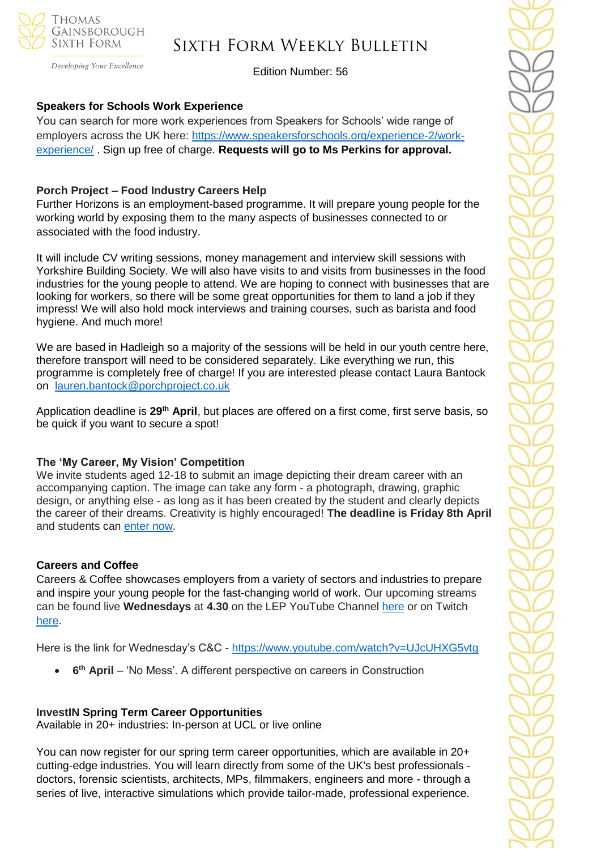

Developing Your Excellence

Edition Number: 56

#### **Speakers for Schools Work Experience**

You can search for more work experiences from Speakers for Schools' wide range of employers across the UK here: [https://www.speakersforschools.org/experience-2/work](https://www.speakersforschools.org/experience-2/work-experience/)[experience/](https://www.speakersforschools.org/experience-2/work-experience/) . Sign up free of charge. **Requests will go to Ms Perkins for approval.**

#### **Porch Project – Food Industry Careers Help**

Further Horizons is an employment-based programme. It will prepare young people for the working world by exposing them to the many aspects of businesses connected to or associated with the food industry.

It will include CV writing sessions, money management and interview skill sessions with Yorkshire Building Society. We will also have visits to and visits from businesses in the food industries for the young people to attend. We are hoping to connect with businesses that are looking for workers, so there will be some great opportunities for them to land a job if they impress! We will also hold mock interviews and training courses, such as barista and food hygiene. And much more!

We are based in Hadleigh so a majority of the sessions will be held in our youth centre here, therefore transport will need to be considered separately. Like everything we run, this programme is completely free of charge! If you are interested please contact Laura Bantock on [lauren.bantock@porchproject.co.uk](mailto:lauren.bantock@porchproject.co.uk)

Application deadline is **29th April**, but places are offered on a first come, first serve basis, so be quick if you want to secure a spot!

#### **The 'My Career, My Vision' Competition**

We invite students aged 12-18 to submit an image depicting their dream career with an accompanying caption. The image can take any form - a photograph, drawing, graphic design, or anything else - as long as it has been created by the student and clearly depicts the career of their dreams. Creativity is highly encouraged! **The deadline is Friday 8th April**  and students can [enter now.](https://investin.org/blogs/news/careers-week-competition?utm_source=UK+SCHOOLS+MASTER&utm_campaign=9d91cb935c-bankersschoolmar_COPY_01&utm_medium=email&utm_term=0_bfccb03bbd-9d91cb935c-137697031&mc_cid=9d91cb935c&mc_eid=894e4199ae)

#### **Careers and Coffee**

Careers & Coffee showcases employers from a variety of sectors and industries to prepare and inspire your young people for the fast-changing world of work. Our upcoming streams can be found live **Wednesdays** at **4.30** on the LEP YouTube Channel [here](https://emea01.safelinks.protection.outlook.com/?url=https%3A%2F%2Fwww.youtube.com%2Fchannel%2FUCMQWGt6SdsGQF-KJCq7JTwQ&data=04%7C01%7C%7C4c6c44ecc3fb4f20ff7908d9db3b3618%7C84df9e7fe9f640afb435aaaaaaaaaaaa%7C1%7C0%7C637781869767327633%7CUnknown%7CTWFpbGZsb3d8eyJWIjoiMC4wLjAwMDAiLCJQIjoiV2luMzIiLCJBTiI6Ik1haWwiLCJXVCI6Mn0%3D%7C3000&sdata=jcnjPssNA6CGryLNqRJMQzfb7UnLUOJ3WUdL%2FnQhejw%3D&reserved=0) or on Twitch [here.](https://emea01.safelinks.protection.outlook.com/?url=https%3A%2F%2Fwww.twitch.tv%2FNewAngliaEAN&data=04%7C01%7C%7C4c6c44ecc3fb4f20ff7908d9db3b3618%7C84df9e7fe9f640afb435aaaaaaaaaaaa%7C1%7C0%7C637781869767327633%7CUnknown%7CTWFpbGZsb3d8eyJWIjoiMC4wLjAwMDAiLCJQIjoiV2luMzIiLCJBTiI6Ik1haWwiLCJXVCI6Mn0%3D%7C3000&sdata=%2BC%2F2NVk7rCN9nN0gPB86AdBavn%2BdywBz%2FR1nbIo0XG8%3D&reserved=0)

Here is the link for Wednesday's C&C - [https://www.youtube.com/watch?v=UJcUHXG5vtg](https://emea01.safelinks.protection.outlook.com/?url=https%3A%2F%2Fwww.youtube.com%2Fwatch%3Fv%3DUJcUHXG5vtg&data=04%7C01%7C%7C4c6c44ecc3fb4f20ff7908d9db3b3618%7C84df9e7fe9f640afb435aaaaaaaaaaaa%7C1%7C0%7C637781869767327633%7CUnknown%7CTWFpbGZsb3d8eyJWIjoiMC4wLjAwMDAiLCJQIjoiV2luMzIiLCJBTiI6Ik1haWwiLCJXVCI6Mn0%3D%7C3000&sdata=QmwZMfWApfz3NYzqKGZdNMm6DnYKNSnpPCkWXQ5qlMw%3D&reserved=0)

• **6<sup>th</sup> April** – 'No Mess'. A different perspective on careers in Construction

#### **InvestIN Spring Term Career Opportunities**

Available in 20+ industries: In-person at UCL or live online

You can now register for our spring term career opportunities, which are available in 20+ cutting-edge industries. You will learn directly from some of the UK's best professionals doctors, forensic scientists, architects, MPs, filmmakers, engineers and more - through a series of live, interactive simulations which provide tailor-made, professional experience.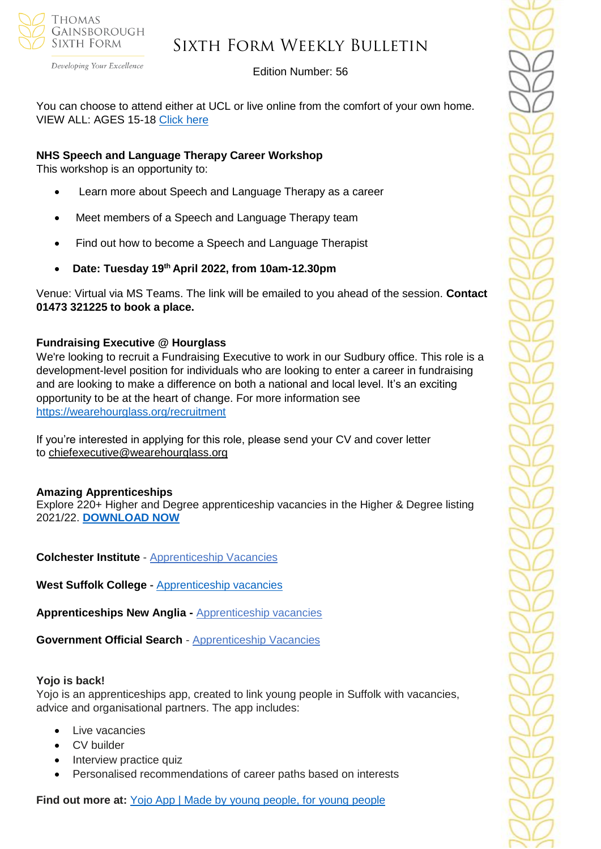

Developing Your Excellence

#### Edition Number: 56

You can choose to attend either at UCL or live online from the comfort of your own home. VIEW ALL: AGES 15-18 [Click here](https://investin.org/pages/spring-term-career-programmes-15-18?utm_source=UK+SCHOOLS+MASTER&utm_campaign=3b31a67736-bankersschoolmar_COPY_01&utm_medium=email&utm_term=0_bfccb03bbd-3b31a67736-137697031&mc_cid=3b31a67736&mc_eid=894e4199ae)

#### **NHS Speech and Language Therapy Career Workshop**

This workshop is an opportunity to:

- Learn more about Speech and Language Therapy as a career
- Meet members of a Speech and Language Therapy team
- Find out how to become a Speech and Language Therapist
- **Date: Tuesday 19th April 2022, from 10am-12.30pm**

Venue: Virtual via MS Teams. The link will be emailed to you ahead of the session. **Contact 01473 321225 to book a place.**

#### **Fundraising Executive @ Hourglass**

We're looking to recruit a Fundraising Executive to work in our Sudbury office. This role is a development-level position for individuals who are looking to enter a career in fundraising and are looking to make a difference on both a national and local level. It's an exciting opportunity to be at the heart of change. For more information see <https://wearehourglass.org/recruitment>

If you're interested in applying for this role, please send your CV and cover letter to [chiefexecutive@wearehourglass.org](mailto:chiefexecutive@wearehourglass.org)

#### **Amazing Apprenticeships**

Explore 220+ Higher and Degree apprenticeship vacancies in the Higher & Degree listing 2021/22. **[DOWNLOAD NOW](https://amazingapprenticeships.com/resource/higher-and-degree-listing/)**

**Colchester Institute** - Apprenticeship Vacancies

**West Suffolk College -** [Apprenticeship vacancies](https://www.wsc.ac.uk/find-a-course/apprenticeships)

**Apprenticeships New Anglia -** [Apprenticeship vacancies](https://www.apprenticeshipsnewanglia.co.uk/)

**Government Official Search** - [Apprenticeship Vacancies](https://www.gov.uk/apply-apprenticeship)

#### **Yojo is back!**

Yojo is an apprenticeships app, created to link young people in Suffolk with vacancies, advice and organisational partners. The app includes:

- Live vacancies
- CV builder
- Interview practice quiz
- Personalised recommendations of career paths based on interests

**Find out more at:** [Yojo App | Made by young people, for young people](https://emea01.safelinks.protection.outlook.com/?url=https%3A%2F%2Fyojoapp.co.uk%2F&data=04%7C01%7C%7C4c6c44ecc3fb4f20ff7908d9db3b3618%7C84df9e7fe9f640afb435aaaaaaaaaaaa%7C1%7C0%7C637781869767483855%7CUnknown%7CTWFpbGZsb3d8eyJWIjoiMC4wLjAwMDAiLCJQIjoiV2luMzIiLCJBTiI6Ik1haWwiLCJXVCI6Mn0%3D%7C3000&sdata=9WtYUB305aPkl6q46VQFnWxhGcaNixIyQ7zb9qHytQc%3D&reserved=0)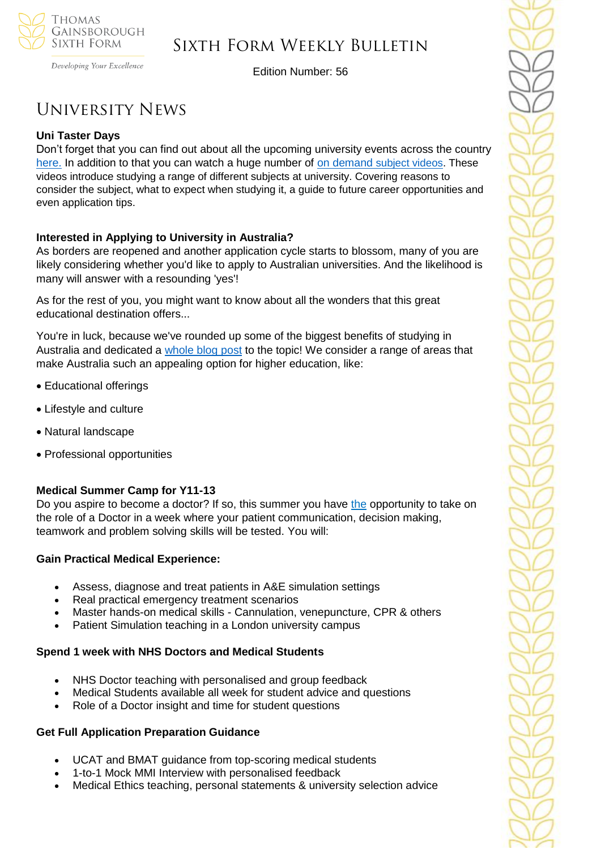

Developing Your Excellence

Edition Number: 56

# University News

#### **Uni Taster Days**

Don't forget that you can find out about all the upcoming university events across the country [here.](https://www.unitasterdays.com/search.aspx) In addition to that you can watch a huge number of on demand [subject videos.](https://www.unitasterdays.com/ondemand) These videos introduce studying a range of different subjects at university. Covering reasons to consider the subject, what to expect when studying it, a guide to future career opportunities and even application tips.

#### **Interested in Applying to University in Australia?**

As borders are reopened and another application cycle starts to blossom, many of you are likely considering whether you'd like to apply to Australian universities. And the likelihood is many will answer with a resounding 'yes'!

As for the rest of you, you might want to know about all the wonders that this great educational destination offers...

You're in luck, because we've rounded up some of the biggest benefits of studying in Australia and dedicated a [whole blog post](https://bridge-u.com/blog/6-reasons-why-your-students-want-to-study-in-australia/) to the topic! We consider a range of areas that make Australia such an appealing option for higher education, like:

- Educational offerings
- Lifestyle and culture
- Natural landscape
- Professional opportunities

#### **Medical Summer Camp for Y11-13**

Do you aspire to become a doctor? If so, this summer you have [the](https://edu9.sprintsend.co.uk/b2/link.php?M=1213464&N=104&L=347&F=H) opportunity to take on the role of a Doctor in a week where your patient communication, decision making, teamwork and problem solving skills will be tested. You will:

#### **Gain Practical Medical Experience:**

- Assess, diagnose and treat patients in A&E simulation settings
- Real practical emergency treatment scenarios
- Master hands-on medical skills Cannulation, venepuncture, CPR & others
- Patient Simulation teaching in a London university campus

#### **Spend 1 week with NHS Doctors and Medical Students**

- NHS Doctor teaching with personalised and group feedback
- Medical Students available all week for student advice and questions
- Role of a Doctor insight and time for student questions

#### **Get Full Application Preparation Guidance**

- UCAT and BMAT guidance from top-scoring medical students
- 1-to-1 Mock MMI Interview with personalised feedback
- Medical Ethics teaching, personal statements & university selection advice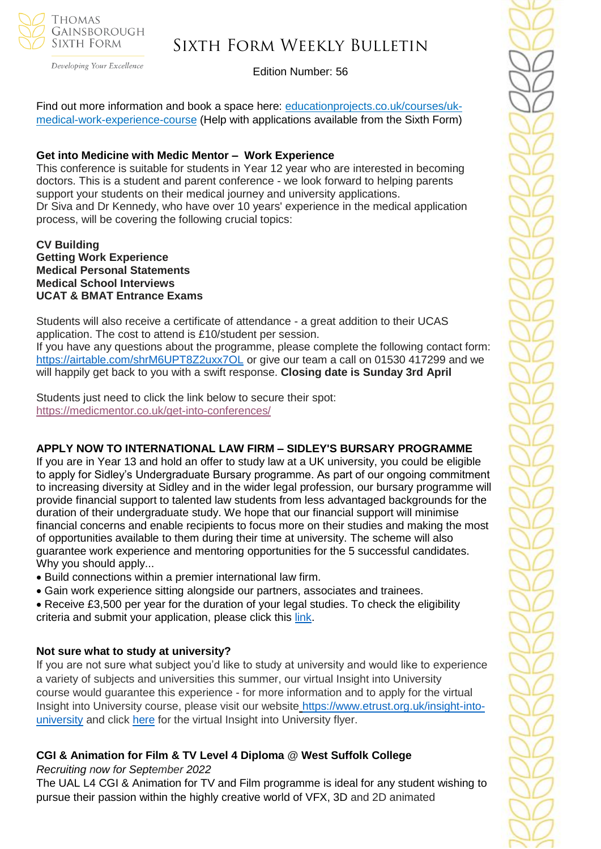

Developing Your Excellence

### Edition Number: 56

Find out more information and book a space here: [educationprojects.co.uk/courses/uk](https://edu9.sprintsend.co.uk/b2/link.php?M=1213464&N=104&L=346&F=H)[medical-work-experience-course](https://edu9.sprintsend.co.uk/b2/link.php?M=1213464&N=104&L=346&F=H) (Help with applications available from the Sixth Form)

#### **Get into Medicine with Medic Mentor – Work Experience**

This conference is suitable for students in Year 12 year who are interested in becoming doctors. This is a student and parent conference - we look forward to helping parents support your students on their medical journey and university applications. Dr Siva and Dr Kennedy, who have over 10 years' experience in the medical application process, will be covering the following crucial topics:

#### **CV Building Getting Work Experience Medical Personal Statements Medical School Interviews UCAT & BMAT Entrance Exams**

Students will also receive a certificate of attendance - a great addition to their UCAS application. The cost to attend is £10/student per session. If you have any questions about the programme, please complete the following contact form: <https://airtable.com/shrM6UPT8Z2uxx7OL> or give our team a call on 01530 417299 and we will happily get back to you with a swift response. **Closing date is Sunday 3rd April**

Students just need to click the link below to secure their spot: <https://medicmentor.co.uk/get-into-conferences/>

#### **APPLY NOW TO INTERNATIONAL LAW FIRM – SIDLEY'S BURSARY PROGRAMME**

If you are in Year 13 and hold an offer to study law at a UK university, you could be eligible to apply for Sidley's Undergraduate Bursary programme. As part of our ongoing commitment to increasing diversity at Sidley and in the wider legal profession, our bursary programme will provide financial support to talented law students from less advantaged backgrounds for the duration of their undergraduate study. We hope that our financial support will minimise financial concerns and enable recipients to focus more on their studies and making the most of opportunities available to them during their time at university. The scheme will also guarantee work experience and mentoring opportunities for the 5 successful candidates. Why you should apply...

- Build connections within a premier international law firm.
- Gain work experience sitting alongside our partners, associates and trainees.
- Receive £3,500 per year for the duration of your legal studies. To check the eligibility criteria and submit your application, please click this [link.](https://www.sidleycareers.com/en/europe/london-opportunities?tab=london-undergraduate-bursary-programme&goal=0_65c6d67e71-ee29717514-212136547&mc_cid=ee29717514&mc_eid=530f418f3c)

#### **Not sure what to study at university?**

If you are not sure what subject you'd like to study at university and would like to experience a variety of subjects and universities this summer, our virtual Insight into University course would guarantee this experience - for more information and to apply for the virtual Insight into University course, please visit our website [https://www.etrust.org.uk/insight-into](https://www.etrust.org.uk/insight-into-university)[university](https://www.etrust.org.uk/insight-into-university) and click [here](https://dd233f6a-c442-4437-a8e1-9e42987b6020.filesusr.com/ugd/4517c8_fcb7add322ae4a1eab2156347e1f2442.pdf) for the virtual Insight into University flyer.

### **CGI & Animation for Film & TV Level 4 Diploma @ West Suffolk College**

*Recruiting now for September 2022*

The UAL L4 CGI & Animation for TV and Film programme is ideal for any student wishing to pursue their passion within the highly creative world of VFX, 3D and 2D animated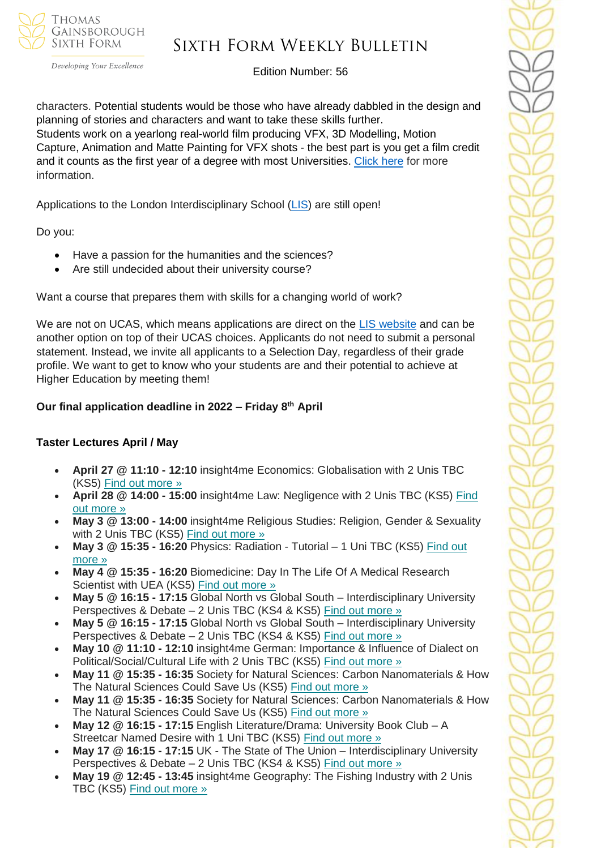

# Sixth Form Weekly Bulletin

Edition Number: 56

characters. Potential students would be those who have already dabbled in the design and planning of stories and characters and want to take these skills further. Students work on a yearlong real-world film producing VFX, 3D Modelling, Motion Capture, Animation and Matte Painting for VFX shots - the best part is you get a film credit and it counts as the first year of a degree with most Universities. [Click](https://www.wsc.ac.uk/courses/level-4-professional-diplomas/754-level-4/9768-cgi-and-animation-for-tv-and-film-diploma-level-4-22vf394099) here for more information.

Applications to the London Interdisciplinary School [\(LIS\)](https://emea01.safelinks.protection.outlook.com/?url=https%3A%2F%2Fschools.tecl.co.uk%2Feducationcompany5lz%2Flz.aspx%3Fp1%3DMuzDU3NjA0MjA1Uzk0NzE6NkYwQjdEMTg3QzdEMTdCODZFRjcxMENBNDUyNEYwN0M%253d-%26CC%3D%26w%3D5511&data=04%7C01%7C%7C39fcd5037de64b1f134108d9db3b46e6%7C84df9e7fe9f640afb435aaaaaaaaaaaa%7C1%7C0%7C637781869903019097%7CUnknown%7CTWFpbGZsb3d8eyJWIjoiMC4wLjAwMDAiLCJQIjoiV2luMzIiLCJBTiI6Ik1haWwiLCJXVCI6Mn0%3D%7C3000&sdata=pgQvu53gpi%2Fe%2F8%2BCNPs9L2gikEtVgERhZ9O0%2FbkIqeQ%3D&reserved=0) are still open!

Do you:

- Have a passion for the humanities and the sciences?
- Are still undecided about their university course?

Want a course that prepares them with skills for a changing world of work?

We are not on UCAS, which means applications are direct on the [LIS website](https://emea01.safelinks.protection.outlook.com/?url=https%3A%2F%2Fschools.tecl.co.uk%2Feducationcompany5lz%2Flz.aspx%3Fp1%3DMuzDU3NjA0MjA1Uzk0NzE6NkYwQjdEMTg3QzdEMTdCODZFRjcxMENBNDUyNEYwN0M%253d-%26CC%3D%26w%3D8515&data=04%7C01%7C%7C39fcd5037de64b1f134108d9db3b46e6%7C84df9e7fe9f640afb435aaaaaaaaaaaa%7C1%7C0%7C637781869903019097%7CUnknown%7CTWFpbGZsb3d8eyJWIjoiMC4wLjAwMDAiLCJQIjoiV2luMzIiLCJBTiI6Ik1haWwiLCJXVCI6Mn0%3D%7C3000&sdata=8Hlbt%2BgSl0U8BdHh3CK1iY0dZPD2WXrFZ8gatSx1i2Q%3D&reserved=0) and can be another option on top of their UCAS choices. Applicants do not need to submit a personal statement. Instead, we invite all applicants to a Selection Day, regardless of their grade profile. We want to get to know who your students are and their potential to achieve at Higher Education by meeting them!

### **Our final application deadline in 2022 – Friday 8th April**

### **Taster Lectures April / May**

- **April 27 @ 11:10 - 12:10** insight4me Economics: Globalisation with 2 Unis TBC (KS5) Find out [more](https://channeltalent.us10.list-manage.com/track/click?u=145837fa6843e0c349598322a&id=e6ca5db621&e=155232616c) »
- **April 28 @ 14:00 - 15:00** insight4me Law: Negligence with 2 Unis TBC (KS5) [Find](https://channeltalent.us10.list-manage.com/track/click?u=145837fa6843e0c349598322a&id=dbe7344ff8&e=155232616c) out [more](https://channeltalent.us10.list-manage.com/track/click?u=145837fa6843e0c349598322a&id=dbe7344ff8&e=155232616c) »
- **May 3 @ 13:00 - 14:00** insight4me Religious Studies: Religion, Gender & Sexuality with 2 Unis TBC (KS5) Find out [more](https://channeltalent.us10.list-manage.com/track/click?u=145837fa6843e0c349598322a&id=e36cdfc670&e=155232616c) »
- **May 3 @ 15:35 - 16:20** Physics: Radiation Tutorial 1 Uni TBC (KS5) [Find](https://channeltalent.us10.list-manage.com/track/click?u=145837fa6843e0c349598322a&id=0ef7667675&e=155232616c) out [more](https://channeltalent.us10.list-manage.com/track/click?u=145837fa6843e0c349598322a&id=0ef7667675&e=155232616c) »
- **May 4 @ 15:35 - 16:20** Biomedicine: Day In The Life Of A Medical Research Scientist with UEA (KS5) Find out [more](https://channeltalent.us10.list-manage.com/track/click?u=145837fa6843e0c349598322a&id=98cf5ea4fa&e=155232616c) »
- **May 5 @ 16:15 - 17:15** Global North vs Global South Interdisciplinary University Perspectives & Debate – 2 Unis TBC (KS4 & KS5) Find out [more](https://channeltalent.us10.list-manage.com/track/click?u=145837fa6843e0c349598322a&id=49a55764f0&e=155232616c) »
- **May 5 @ 16:15 - 17:15** Global North vs Global South Interdisciplinary University Perspectives & Debate – 2 Unis TBC (KS4 & KS5) Find out [more](https://channeltalent.us10.list-manage.com/track/click?u=145837fa6843e0c349598322a&id=ba559e48c8&e=155232616c) »
- **May 10 @ 11:10 - 12:10** insight4me German: Importance & Influence of Dialect on Political/Social/Cultural Life with 2 Unis TBC (KS5) Find out [more](https://channeltalent.us10.list-manage.com/track/click?u=145837fa6843e0c349598322a&id=61a0b7a9ff&e=155232616c) »
- **May 11 @ 15:35 - 16:35** Society for Natural Sciences: Carbon Nanomaterials & How The Natural Sciences Could Save Us (KS5) Find out [more](https://channeltalent.us10.list-manage.com/track/click?u=145837fa6843e0c349598322a&id=174c27095e&e=155232616c) »
- **May 11 @ 15:35 - 16:35** Society for Natural Sciences: Carbon Nanomaterials & How The Natural Sciences Could Save Us (KS5) Find out [more](https://channeltalent.us10.list-manage.com/track/click?u=145837fa6843e0c349598322a&id=4a71a47bd5&e=155232616c) »
- **May 12 @ 16:15 - 17:15** English Literature/Drama: University Book Club A Streetcar Named Desire with 1 Uni TBC (KS5) Find out [more](https://channeltalent.us10.list-manage.com/track/click?u=145837fa6843e0c349598322a&id=070d73006b&e=155232616c) »
- **May 17 @ 16:15 - 17:15** UK The State of The Union Interdisciplinary University Perspectives & Debate – 2 Unis TBC (KS4 & KS5) Find out [more](https://channeltalent.us10.list-manage.com/track/click?u=145837fa6843e0c349598322a&id=90392dc928&e=155232616c) »
- **May 19 @ 12:45 - 13:45** insight4me Geography: The Fishing Industry with 2 Unis TBC (KS5) Find out [more](https://channeltalent.us10.list-manage.com/track/click?u=145837fa6843e0c349598322a&id=4666325908&e=155232616c) »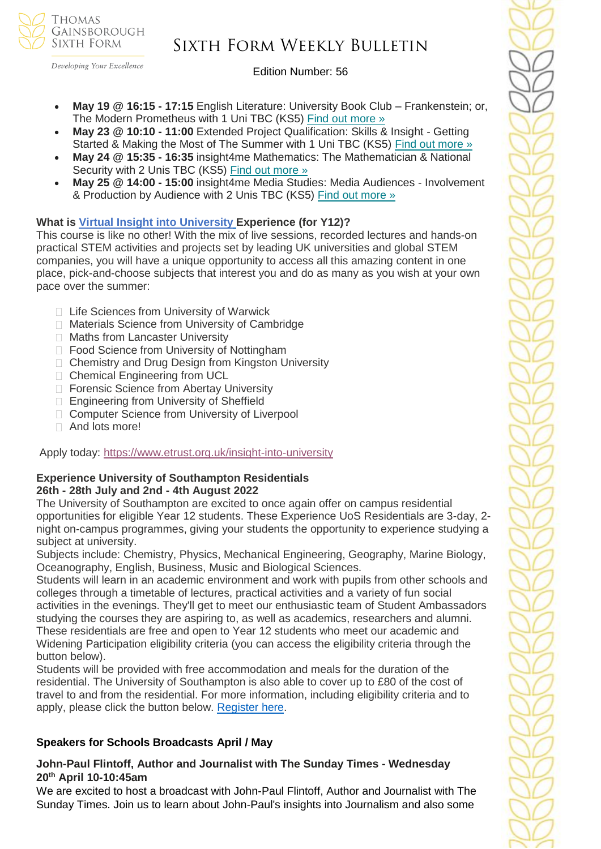

Developing Your Excellence

#### Edition Number: 56

- **May 19 @ 16:15 - 17:15** English Literature: University Book Club Frankenstein; or, The Modern Prometheus with 1 Uni TBC (KS5) Find out [more](https://channeltalent.us10.list-manage.com/track/click?u=145837fa6843e0c349598322a&id=62400f7076&e=155232616c) »
- **May 23 @ 10:10 - 11:00** Extended Project Qualification: Skills & Insight Getting Started & Making the Most of The Summer with 1 Uni TBC (KS5) Find out [more](https://channeltalent.us10.list-manage.com/track/click?u=145837fa6843e0c349598322a&id=02acee6a35&e=155232616c) »
- **May 24 @ 15:35 - 16:35** insight4me Mathematics: The Mathematician & National Security with 2 Unis TBC (KS5) Find out [more](https://channeltalent.us10.list-manage.com/track/click?u=145837fa6843e0c349598322a&id=016a35f4ce&e=155232616c) »
- **May 25 @ 14:00 - 15:00** insight4me Media Studies: Media Audiences Involvement & Production by Audience with 2 Unis TBC (KS5) Find out [more](https://channeltalent.us10.list-manage.com/track/click?u=145837fa6843e0c349598322a&id=d921727e6b&e=155232616c) »

#### **What is Virtual Insight into [University](https://www.etrust.org.uk/insight-into-university) Experience (for Y12)?**

This course is like no other! With the mix of live sessions, recorded lectures and hands-on practical STEM activities and projects set by leading UK universities and global STEM companies, you will have a unique opportunity to access all this amazing content in one place, pick-and-choose subjects that interest you and do as many as you wish at your own pace over the summer:

- □ Life Sciences from University of Warwick
- □ Materials Science from University of Cambridge
- **Maths from Lancaster University**
- □ Food Science from University of Nottingham
- □ Chemistry and Drug Design from Kingston University
- □ Chemical Engineering from UCL
- □ Forensic Science from Abertay University
- □ Engineering from University of Sheffield
- □ Computer Science from University of Liverpool
- □ And lots more!

Apply today: <https://www.etrust.org.uk/insight-into-university>

#### **Experience University of Southampton Residentials 26th - 28th July and 2nd - 4th August 2022**

The University of Southampton are excited to once again offer on campus residential opportunities for eligible Year 12 students. These Experience UoS Residentials are 3-day, 2 night on-campus programmes, giving your students the opportunity to experience studying a subject at university.

Subjects include: Chemistry, Physics, Mechanical Engineering, Geography, Marine Biology, Oceanography, English, Business, Music and Biological Sciences.

Students will learn in an academic environment and work with pupils from other schools and colleges through a timetable of lectures, practical activities and a variety of fun social activities in the evenings. They'll get to meet our enthusiastic team of Student Ambassadors studying the courses they are aspiring to, as well as academics, researchers and alumni. These residentials are free and open to Year 12 students who meet our academic and Widening Participation eligibility criteria (you can access the eligibility criteria through the button below).

Students will be provided with free accommodation and meals for the duration of the residential. The University of Southampton is also able to cover up to £80 of the cost of travel to and from the residential. For more information, including eligibility criteria and to apply, please click the button below. [Register here.](https://www.southampton.ac.uk/schools-colleges/experience-summer-event.page+)

#### **Speakers for Schools Broadcasts April / May**

### **John-Paul Flintoff, Author and Journalist with The Sunday Times - Wednesday 20th April 10-10:45am**

We are excited to host a broadcast with John-Paul Flintoff, Author and Journalist with The Sunday Times. Join us to learn about John-Paul's insights into Journalism and also some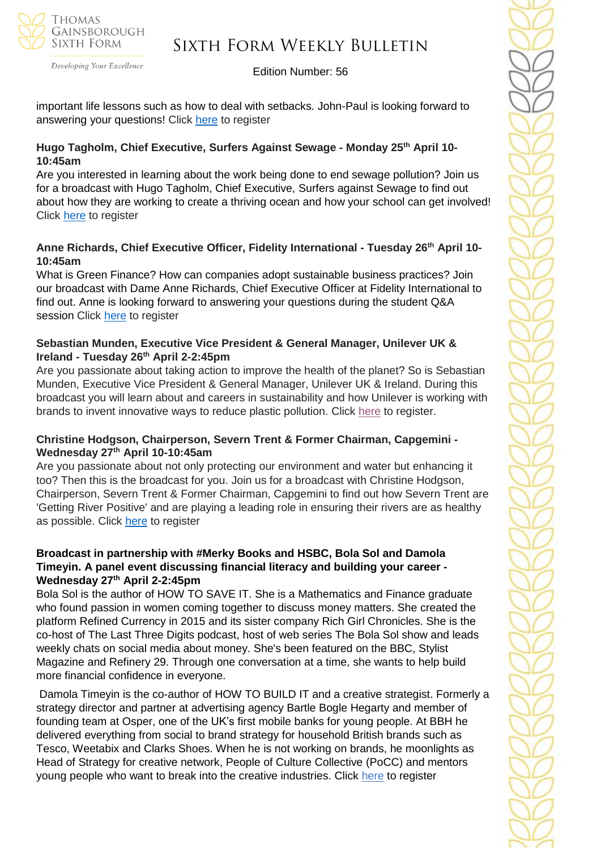

Developing Your Excellence

#### Edition Number: 56

important life lessons such as how to deal with setbacks. John-Paul is looking forward to answering your questions! Click [here](https://forms.office.com/r/iY9CefkggF) to register

#### **Hugo Tagholm, Chief Executive, Surfers Against Sewage - Monday 25th April 10- 10:45am**

Are you interested in learning about the work being done to end sewage pollution? Join us for a broadcast with Hugo Tagholm, Chief Executive, Surfers against Sewage to find out about how they are working to create a thriving ocean and how your school can get involved! Click [here](https://forms.office.com/r/5imUKR5U4C) to register

#### **Anne Richards, Chief Executive Officer, Fidelity International - Tuesday 26th April 10- 10:45am**

What is Green Finance? How can companies adopt sustainable business practices? Join our broadcast with Dame Anne Richards, Chief Executive Officer at Fidelity International to find out. Anne is looking forward to answering your questions during the student Q&A session Click [here](https://forms.office.com/r/MQcK2ezfUa) to register

#### **Sebastian Munden, Executive Vice President & General Manager, Unilever UK & Ireland - Tuesday 26th April 2-2:45pm**

Are you passionate about taking action to improve the health of the planet? So is Sebastian Munden, Executive Vice President & General Manager, Unilever UK & Ireland. During this broadcast you will learn about and careers in sustainability and how Unilever is working with brands to invent innovative ways to reduce plastic pollution. Click [here](https://forms.office.com/r/vRuGnAA6W6) to register.

#### **Christine Hodgson, Chairperson, Severn Trent & Former Chairman, Capgemini - Wednesday 27th April 10-10:45am**

Are you passionate about not only protecting our environment and water but enhancing it too? Then this is the broadcast for you. Join us for a broadcast with Christine Hodgson, Chairperson, Severn Trent & Former Chairman, Capgemini to find out how Severn Trent are 'Getting River Positive' and are playing a leading role in ensuring their rivers are as healthy as possible. Click [here](https://forms.office.com/r/WqL6xHp6NG) to register

#### **Broadcast in partnership with #Merky Books and HSBC, Bola Sol and Damola Timeyin. A panel event discussing financial literacy and building your career - Wednesday 27th April 2-2:45pm**

Bola Sol is the author of HOW TO SAVE IT. She is a Mathematics and Finance graduate who found passion in women coming together to discuss money matters. She created the platform Refined Currency in 2015 and its sister company Rich Girl Chronicles. She is the co-host of The Last Three Digits podcast, host of web series The Bola Sol show and leads weekly chats on social media about money. She's been featured on the BBC, Stylist Magazine and Refinery 29. Through one conversation at a time, she wants to help build more financial confidence in everyone.

Damola Timeyin is the co-author of HOW TO BUILD IT and a creative strategist. Formerly a strategy director and partner at advertising agency Bartle Bogle Hegarty and member of founding team at Osper, one of the UK's first mobile banks for young people. At BBH he delivered everything from social to brand strategy for household British brands such as Tesco, Weetabix and Clarks Shoes. When he is not working on brands, he moonlights as Head of Strategy for creative network, People of Culture Collective (PoCC) and mentors young people who want to break into the creative industries. Click [here](https://forms.office.com/pages/responsepage.aspx?id=HFqhLo7yMEahv9dFTLRO65fTtVvpxU5Juw5B-0Ohp8RURTRTR01XUkJVSzlJQVk5MzNMSFFSMVVWRy4u&web=1&wdLOR=c9BE881E4-F8B8-45DF-8F7B-DF8D6D2A649F) to register